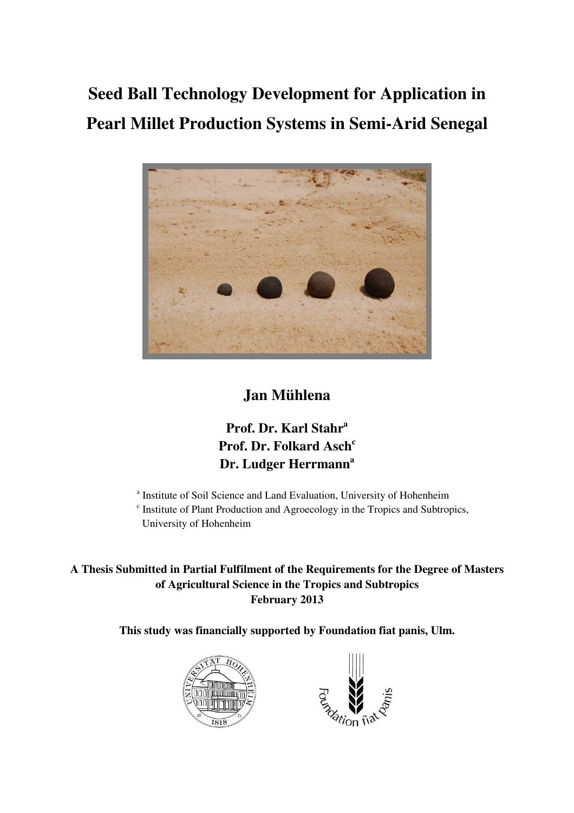## **Seed Ball Technology Development for Application in Pearl Millet Production Systems in Semi-Arid Senegal**



## **Jan Mühlena**

## **Prof. Dr. Karl Stahr<sup>a</sup> Prof. Dr. Folkard Asch<sup>c</sup> Dr. Ludger Herrmann<sup>a</sup>**

<sup>a</sup> Institute of Soil Science and Land Evaluation, University of Hohenheim <sup>c</sup> Institute of Plant Production and Agroecology in the Tropics and Subtropics, University of Hohenheim

**A Thesis Submitted in Partial Fulfilment of the Requirements for the Degree of Masters of Agricultural Science in the Tropics and Subtropics February 2013** 

**This study was financially supported by Foundation fiat panis, Ulm.** 



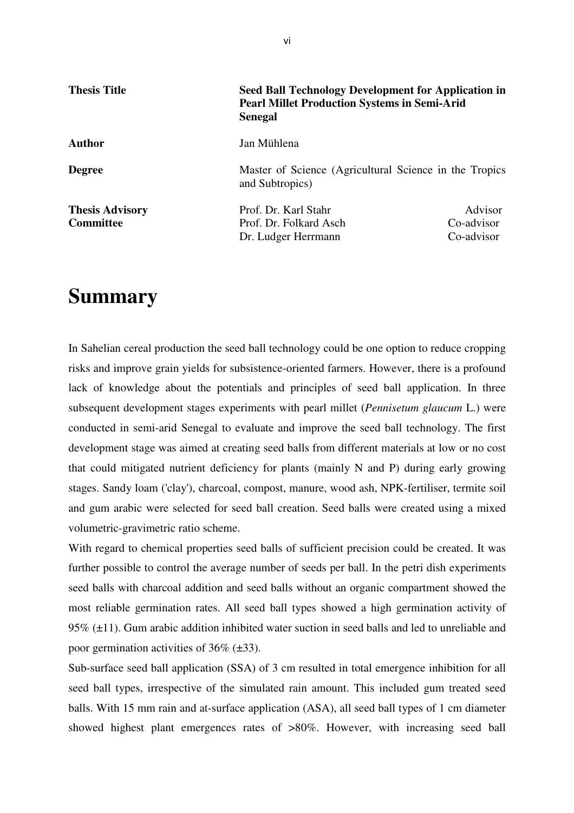| <b>Thesis Title</b>                        | <b>Senegal</b>                                                            | Seed Ball Technology Development for Application in<br><b>Pearl Millet Production Systems in Semi-Arid</b> |  |
|--------------------------------------------|---------------------------------------------------------------------------|------------------------------------------------------------------------------------------------------------|--|
| Author                                     | Jan Mühlena                                                               |                                                                                                            |  |
| <b>Degree</b>                              | Master of Science (Agricultural Science in the Tropics<br>and Subtropics) |                                                                                                            |  |
| <b>Thesis Advisory</b><br><b>Committee</b> | Prof. Dr. Karl Stahr<br>Prof. Dr. Folkard Asch<br>Dr. Ludger Herrmann     | Advisor<br>Co-advisor<br>Co-advisor                                                                        |  |

## **Summary**

In Sahelian cereal production the seed ball technology could be one option to reduce cropping risks and improve grain yields for subsistence-oriented farmers. However, there is a profound lack of knowledge about the potentials and principles of seed ball application. In three subsequent development stages experiments with pearl millet (*Pennisetum glaucum* L.) were conducted in semi-arid Senegal to evaluate and improve the seed ball technology. The first development stage was aimed at creating seed balls from different materials at low or no cost that could mitigated nutrient deficiency for plants (mainly N and P) during early growing stages. Sandy loam ('clay'), charcoal, compost, manure, wood ash, NPK-fertiliser, termite soil and gum arabic were selected for seed ball creation. Seed balls were created using a mixed volumetric-gravimetric ratio scheme.

With regard to chemical properties seed balls of sufficient precision could be created. It was further possible to control the average number of seeds per ball. In the petri dish experiments seed balls with charcoal addition and seed balls without an organic compartment showed the most reliable germination rates. All seed ball types showed a high germination activity of 95%  $(\pm 11)$ . Gum arabic addition inhibited water suction in seed balls and led to unreliable and poor germination activities of  $36\%$  ( $\pm 33$ ).

Sub-surface seed ball application (SSA) of 3 cm resulted in total emergence inhibition for all seed ball types, irrespective of the simulated rain amount. This included gum treated seed balls. With 15 mm rain and at-surface application (ASA), all seed ball types of 1 cm diameter showed highest plant emergences rates of >80%. However, with increasing seed ball

vi